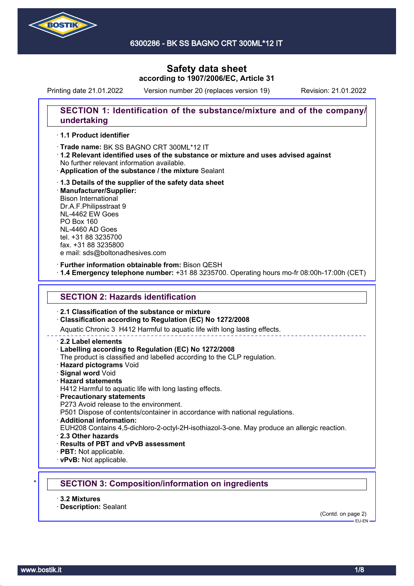

6300286 - BK SS BAGNO CRT 300ML\*12 IT

# **Safety data sheet according to 1907/2006/EC, Article 31**

Printing date 21.01.2022 Version number 20 (replaces version 19) Revision: 21.01.2022

## **SECTION 1: Identification of the substance/mixture and of the company/ undertaking**

### · **1.1 Product identifier**

· Trade name: BK SS BAGNO CRT 300ML\*12 IT

- · **1.2 Relevant identified uses of the substance or mixture and uses advised against** No further relevant information available.
- · **Application of the substance / the mixture** Sealant
- · **1.3 Details of the supplier of the safety data sheet** · **Manufacturer/Supplier:** Bison International Dr.A.F.Philipsstraat 9 NL-4462 EW Goes PO Box 160 NL-4460 AD Goes tel. +31 88 3235700 fax. +31 88 3235800 e mail: sds@boltonadhesives.com

#### · **Further information obtainable from:** Bison QESH

· **1.4 Emergency telephone number:** +31 88 3235700. Operating hours mo-fr 08:00h-17:00h (CET)

### **SECTION 2: Hazards identification**

### · **2.1 Classification of the substance or mixture**

### · **Classification according to Regulation (EC) No 1272/2008**

Aquatic Chronic 3 H412 Harmful to aquatic life with long lasting effects.

#### · **2.2 Label elements**

### · **Labelling according to Regulation (EC) No 1272/2008**

The product is classified and labelled according to the CLP regulation.

- · **Hazard pictograms** Void
- · **Signal word** Void
- · **Hazard statements**
- H412 Harmful to aquatic life with long lasting effects.
- · **Precautionary statements**
- P273 Avoid release to the environment.

P501 Dispose of contents/container in accordance with national regulations.

· **Additional information:**

EUH208 Contains 4,5-dichloro-2-octyl-2H-isothiazol-3-one. May produce an allergic reaction.

- · **2.3 Other hazards**
- · **Results of PBT and vPvB assessment**
- · **PBT:** Not applicable.
- · **vPvB:** Not applicable.

### \* **SECTION 3: Composition/information on ingredients**

- · **3.2 Mixtures**
- · **Description:** Sealant

(Contd. on page 2)  $-$ EU-EN-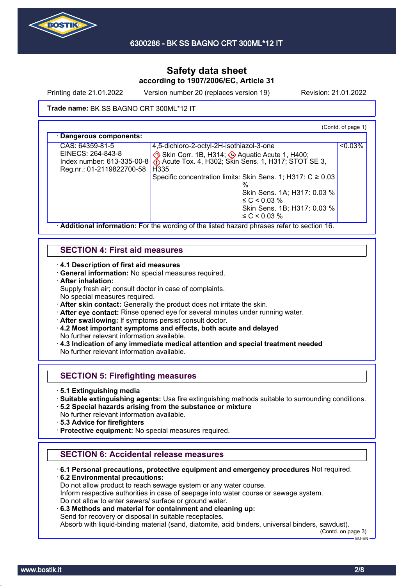

Printing date 21.01.2022 Version number 20 (replaces version 19) Revision: 21.01.2022

### Trade name: BK SS BAGNO CRT 300ML\*12 IT

(Contd. of page 1)

| CAS: 64359-81-5            | 4,5-dichloro-2-octyl-2H-isothiazol-3-one                        | $< 0.03\%$ |
|----------------------------|-----------------------------------------------------------------|------------|
| EINECS: 264-843-8          | Skin Corr. 1B, H314; Aquatic Acute 1, H400;                     |            |
| Index number: 613-335-00-8 | Acute Tox. 4, H302; Skin Sens. 1, H317; STOT SE 3,              |            |
| Reg.nr.: 01-2119822700-58  | H <sub>335</sub>                                                |            |
|                            | Specific concentration limits: Skin Sens. 1; H317: $C \ge 0.03$ |            |
|                            |                                                                 |            |
|                            | Skin Sens. 1A; H317: 0.03 %                                     |            |
|                            | $\leq C$ < 0.03 %                                               |            |
|                            | Skin Sens. 1B; H317: 0.03 %                                     |            |
|                            | $\leq C$ < 0.03 %                                               |            |

## **SECTION 4: First aid measures**

· **4.1 Description of first aid measures**

· **General information:** No special measures required.

· **After inhalation:**

Supply fresh air; consult doctor in case of complaints.

- No special measures required.
- · **After skin contact:** Generally the product does not irritate the skin.
- · **After eye contact:** Rinse opened eye for several minutes under running water.
- After swallowing: If symptoms persist consult doctor.
- · **4.2 Most important symptoms and effects, both acute and delayed** No further relevant information available.
- · **4.3 Indication of any immediate medical attention and special treatment needed** No further relevant information available.

## **SECTION 5: Firefighting measures**

- · **5.1 Extinguishing media**
- · **Suitable extinguishing agents:** Use fire extinguishing methods suitable to surrounding conditions.
- · **5.2 Special hazards arising from the substance or mixture**
- No further relevant information available.
- · **5.3 Advice for firefighters**
- · **Protective equipment:** No special measures required.

## **SECTION 6: Accidental release measures**

· **6.1 Personal precautions, protective equipment and emergency procedures** Not required.

· **6.2 Environmental precautions:** Do not allow product to reach sewage system or any water course. Inform respective authorities in case of seepage into water course or sewage system. Do not allow to enter sewers/ surface or ground water.

· **6.3 Methods and material for containment and cleaning up:**

Send for recovery or disposal in suitable receptacles.

Absorb with liquid-binding material (sand, diatomite, acid binders, universal binders, sawdust).

(Contd. on page 3)  $E = F + F$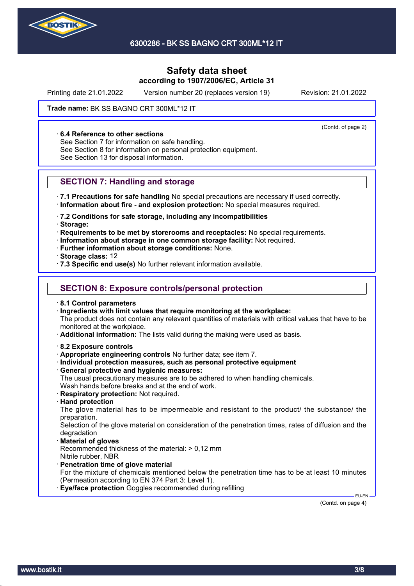

Printing date 21.01.2022 Version number 20 (replaces version 19) Revision: 21.01.2022

(Contd. of page 2)

### Trade name: BK SS BAGNO CRT 300ML\*12 IT

#### · **6.4 Reference to other sections**

See Section 7 for information on safe handling.

See Section 8 for information on personal protection equipment.

See Section 13 for disposal information.

### **SECTION 7: Handling and storage**

· **7.1 Precautions for safe handling** No special precautions are necessary if used correctly. · **Information about fire - and explosion protection:** No special measures required.

· **7.2 Conditions for safe storage, including any incompatibilities**

· **Storage:**

· **Requirements to be met by storerooms and receptacles:** No special requirements.

- · **Information about storage in one common storage facility:** Not required.
- · **Further information about storage conditions:** None.

· **Storage class:** 12

· **7.3 Specific end use(s)** No further relevant information available.

### **SECTION 8: Exposure controls/personal protection**

· **8.1 Control parameters**

· **Ingredients with limit values that require monitoring at the workplace:**

The product does not contain any relevant quantities of materials with critical values that have to be monitored at the workplace.

· **Additional information:** The lists valid during the making were used as basis.

- · **8.2 Exposure controls**
- · **Appropriate engineering controls** No further data; see item 7.
- · **Individual protection measures, such as personal protective equipment**
- · **General protective and hygienic measures:**

The usual precautionary measures are to be adhered to when handling chemicals. Wash hands before breaks and at the end of work.

- · **Respiratory protection:** Not required.
- · **Hand protection**

The glove material has to be impermeable and resistant to the product/ the substance/ the preparation.

Selection of the glove material on consideration of the penetration times, rates of diffusion and the degradation

· **Material of gloves**

Recommended thickness of the material: > 0,12 mm Nitrile rubber, NBR

- · **Penetration time of glove material**
- For the mixture of chemicals mentioned below the penetration time has to be at least 10 minutes (Permeation according to EN 374 Part 3: Level 1).

**Eye/face protection** Goggles recommended during refilling

(Contd. on page 4)

EU-EN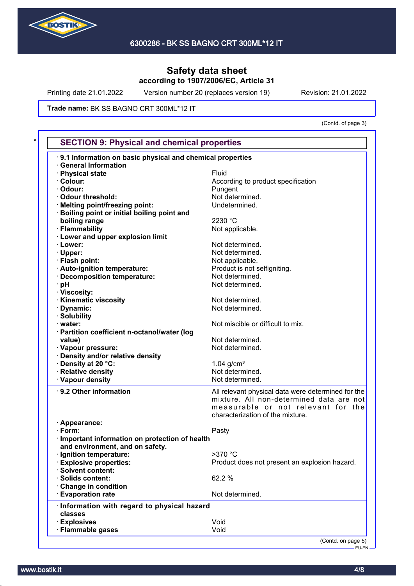

Printing date 21.01.2022 Version number 20 (replaces version 19) Revision: 21.01.2022

Trade name: BK SS BAGNO CRT 300ML\*12 IT

(Contd. of page 3)

| <b>SECTION 9: Physical and chemical properties</b>          |                                                    |
|-------------------------------------------------------------|----------------------------------------------------|
| 9.1 Information on basic physical and chemical properties   |                                                    |
| <b>General Information</b><br>· Physical state              | Fluid                                              |
| · Colour:                                                   |                                                    |
| · Odour:                                                    | According to product specification                 |
| · Odour threshold:                                          | Pungent<br>Not determined.                         |
|                                                             |                                                    |
| · Melting point/freezing point:                             | Undetermined.                                      |
| Boiling point or initial boiling point and<br>boiling range | 2230 °C                                            |
| · Flammability                                              | Not applicable.                                    |
| · Lower and upper explosion limit                           |                                                    |
| · Lower:                                                    | Not determined.                                    |
|                                                             |                                                    |
| · Upper:                                                    | Not determined.                                    |
| · Flash point:                                              | Not applicable.                                    |
| · Auto-ignition temperature:                                | Product is not selfigniting.                       |
| · Decomposition temperature:                                | Not determined.                                    |
| · pH                                                        | Not determined.                                    |
| · Viscosity:                                                |                                                    |
| · Kinematic viscosity                                       | Not determined.                                    |
| Dynamic:                                                    | Not determined.                                    |
| · Solubility                                                |                                                    |
| · water:                                                    | Not miscible or difficult to mix.                  |
| · Partition coefficient n-octanol/water (log                |                                                    |
| value)                                                      | Not determined.                                    |
| · Vapour pressure:                                          | Not determined.                                    |
| · Density and/or relative density                           |                                                    |
| · Density at 20 °C:                                         | $1.04$ g/cm <sup>3</sup>                           |
| · Relative density                                          | Not determined.                                    |
| · Vapour density                                            | Not determined.                                    |
| · 9.2 Other information                                     | All relevant physical data were determined for the |
|                                                             | mixture. All non-determined data are not           |
|                                                             | measurable or not relevant for the                 |
|                                                             | characterization of the mixture.                   |
| · Appearance:                                               |                                                    |
| $\cdot$ Form:                                               | Pasty                                              |
| · Important information on protection of health             |                                                    |
| and environment, and on safety.                             |                                                    |
| Ignition temperature:                                       | >370 °C                                            |
| <b>Explosive properties:</b>                                | Product does not present an explosion hazard.      |
| · Solvent content:                                          |                                                    |
|                                                             | 62.2 %                                             |
| · Solids content:                                           |                                                    |
| Change in condition                                         |                                                    |
| <b>Evaporation rate</b>                                     | Not determined.                                    |
|                                                             |                                                    |
| Information with regard to physical hazard<br>classes       |                                                    |
| <b>Explosives</b>                                           | Void                                               |

EU-EN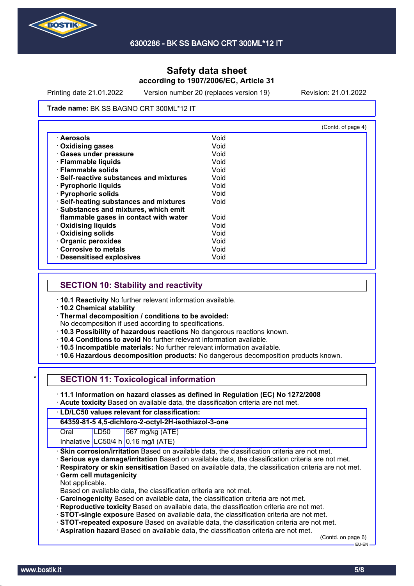

Printing date 21.01.2022 Version number 20 (replaces version 19) Revision: 21.01.2022

#### Trade name: BK SS BAGNO CRT 300ML\*12 IT

|                                              |      | (Contd. of page 4) |
|----------------------------------------------|------|--------------------|
| · Aerosols                                   | Void |                    |
| <b>Oxidising gases</b>                       | Void |                    |
| · Gases under pressure                       | Void |                    |
| · Flammable liquids                          | Void |                    |
| · Flammable solids                           | Void |                    |
| <b>Self-reactive substances and mixtures</b> | Void |                    |
| · Pyrophoric liquids                         | Void |                    |
| · Pyrophoric solids                          | Void |                    |
| · Self-heating substances and mixtures       | Void |                    |
| · Substances and mixtures, which emit        |      |                    |
| flammable gases in contact with water        | Void |                    |
| · Oxidising liquids                          | Void |                    |
| · Oxidising solids                           | Void |                    |
| · Organic peroxides                          | Void |                    |
| Corrosive to metals                          | Void |                    |
| <b>Desensitised explosives</b>               | Void |                    |

### **SECTION 10: Stability and reactivity**

· **10.1 Reactivity** No further relevant information available.

· **10.2 Chemical stability**

· **Thermal decomposition / conditions to be avoided:**

No decomposition if used according to specifications.

- · **10.3 Possibility of hazardous reactions** No dangerous reactions known.
- · **10.4 Conditions to avoid** No further relevant information available.
- · **10.5 Incompatible materials:** No further relevant information available.
- · **10.6 Hazardous decomposition products:** No dangerous decomposition products known.

| $\star$ l |  | <b>SECTION 11: Toxicological information</b> |  |
|-----------|--|----------------------------------------------|--|
|-----------|--|----------------------------------------------|--|

- · **11.1 Information on hazard classes as defined in Regulation (EC) No 1272/2008**
- · **Acute toxicity** Based on available data, the classification criteria are not met.

### · **LD/LC50 values relevant for classification:**

### **64359-81-5 4,5-dichloro-2-octyl-2H-isothiazol-3-one**

Oral LD50 567 mg/kg (ATE)

- Inhalative  $LC50/4$  h 0.16 mg/l (ATE)
- **Skin corrosion/irritation** Based on available data, the classification criteria are not met.
- · **Serious eye damage/irritation** Based on available data, the classification criteria are not met.
- · **Respiratory or skin sensitisation** Based on available data, the classification criteria are not met.
- **Germ cell mutagenicity**
- Not applicable.

Based on available data, the classification criteria are not met.

- · **Carcinogenicity** Based on available data, the classification criteria are not met.
- · **Reproductive toxicity** Based on available data, the classification criteria are not met.
- · **STOT-single exposure** Based on available data, the classification criteria are not met.
- · **STOT-repeated exposure** Based on available data, the classification criteria are not met.
- · **Aspiration hazard** Based on available data, the classification criteria are not met.

(Contd. on page 6) EU-EN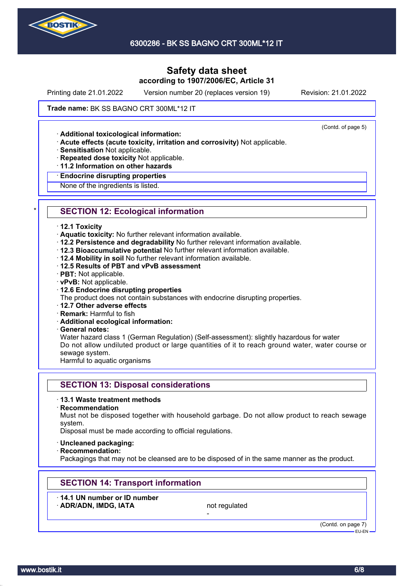

Printing date 21.01.2022 Version number 20 (replaces version 19) Revision: 21.01.2022

(Contd. of page 5)

### Trade name: BK SS BAGNO CRT 300ML\*12 IT

· **Additional toxicological information:**

- · **Acute effects (acute toxicity, irritation and corrosivity)** Not applicable.
- · **Sensitisation** Not applicable.
- · **Repeated dose toxicity** Not applicable.
- · **11.2 Information on other hazards**

#### · **Endocrine disrupting properties**

None of the ingredients is listed.

## **SECTION 12: Ecological information**

#### · **12.1 Toxicity**

- · **Aquatic toxicity:** No further relevant information available.
- · **12.2 Persistence and degradability** No further relevant information available.
- · **12.3 Bioaccumulative potential** No further relevant information available.
- · **12.4 Mobility in soil** No further relevant information available.
- · **12.5 Results of PBT and vPvB assessment**
- · **PBT:** Not applicable.
- · **vPvB:** Not applicable.

### · **12.6 Endocrine disrupting properties**

The product does not contain substances with endocrine disrupting properties.

- · **12.7 Other adverse effects**
- · **Remark:** Harmful to fish
- · **Additional ecological information:**
- · **General notes:**

Water hazard class 1 (German Regulation) (Self-assessment): slightly hazardous for water Do not allow undiluted product or large quantities of it to reach ground water, water course or sewage system.

Harmful to aquatic organisms

### **SECTION 13: Disposal considerations**

#### · **13.1 Waste treatment methods**

· **Recommendation**

Must not be disposed together with household garbage. Do not allow product to reach sewage system.

Disposal must be made according to official regulations.

- · **Uncleaned packaging:**
- · **Recommendation:**

Packagings that may not be cleansed are to be disposed of in the same manner as the product.

-

## **SECTION 14: Transport information**

· **14.1 UN number or ID number** ADR/ADN, IMDG, IATA not regulated

(Contd. on page 7) EU-EN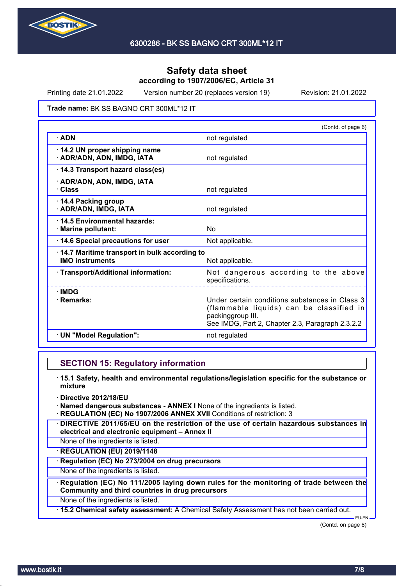

Printing date 21.01.2022 Version number 20 (replaces version 19) Revision: 21.01.2022

### Trade name: BK SS BAGNO CRT 300ML\*12 IT

|                                                                        | (Contd. of page 6)                                                                                                                                                  |
|------------------------------------------------------------------------|---------------------------------------------------------------------------------------------------------------------------------------------------------------------|
| $\cdot$ ADN                                                            | not regulated                                                                                                                                                       |
| · 14.2 UN proper shipping name<br>· ADR/ADN, ADN, IMDG, IATA           | not regulated                                                                                                                                                       |
| 14.3 Transport hazard class(es)                                        |                                                                                                                                                                     |
| · ADR/ADN, ADN, IMDG, IATA<br>· Class                                  | not regulated                                                                                                                                                       |
| 14.4 Packing group<br>· ADR/ADN, IMDG, IATA                            | not regulated                                                                                                                                                       |
| 14.5 Environmental hazards:<br>· Marine pollutant:                     | No                                                                                                                                                                  |
| 14.6 Special precautions for user                                      | Not applicable.                                                                                                                                                     |
| 14.7 Maritime transport in bulk according to<br><b>IMO instruments</b> | Not applicable.                                                                                                                                                     |
| · Transport/Additional information:                                    | Not dangerous according to the above<br>specifications.                                                                                                             |
| $\cdot$ IMDG<br>· Remarks:                                             | Under certain conditions substances in Class 3<br>(flammable liquids) can be classified in<br>packinggroup III.<br>See IMDG, Part 2, Chapter 2.3, Paragraph 2.3.2.2 |
| · UN "Model Regulation":                                               | not regulated                                                                                                                                                       |

### **SECTION 15: Regulatory information**

- · **15.1 Safety, health and environmental regulations/legislation specific for the substance or mixture**
- · **Directive 2012/18/EU**
- · **Named dangerous substances ANNEX I** None of the ingredients is listed.
- · **REGULATION (EC) No 1907/2006 ANNEX XVII** Conditions of restriction: 3
- · **DIRECTIVE 2011/65/EU on the restriction of the use of certain hazardous substances in electrical and electronic equipment – Annex II**
- None of the ingredients is listed.
- · **REGULATION (EU) 2019/1148**
- · **Regulation (EC) No 273/2004 on drug precursors**
- None of the ingredients is listed.
- · **Regulation (EC) No 111/2005 laying down rules for the monitoring of trade between the Community and third countries in drug precursors**
- None of the ingredients is listed.
- · **15.2 Chemical safety assessment:** A Chemical Safety Assessment has not been carried out.

(Contd. on page 8)

EU-EN